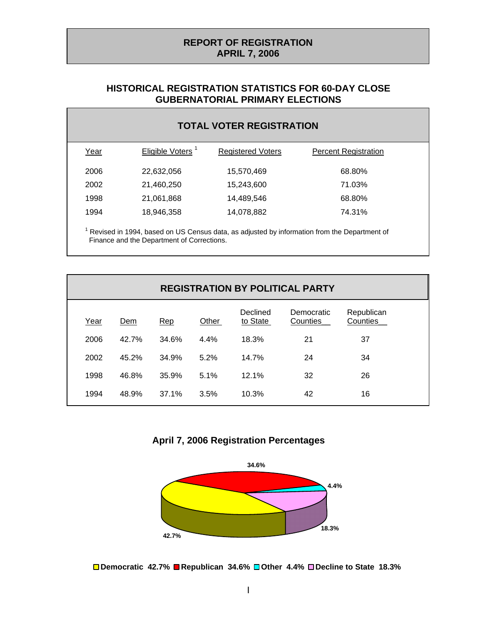## **REPORT OF REGISTRATION APRIL 7, 2006**

## **HISTORICAL REGISTRATION STATISTICS FOR 60-DAY CLOSE GUBERNATORIAL PRIMARY ELECTIONS**

| <b>TOTAL VOTER REGISTRATION</b>                                                             |                              |                          |                             |  |
|---------------------------------------------------------------------------------------------|------------------------------|--------------------------|-----------------------------|--|
| Year                                                                                        | Eligible Voters <sup>1</sup> | <b>Registered Voters</b> | <b>Percent Registration</b> |  |
| 2006                                                                                        | 22,632,056                   | 15,570,469               | 68.80%                      |  |
| 2002                                                                                        | 21,460,250                   | 15,243,600               | 71.03%                      |  |
| 1998                                                                                        | 21,061,868                   | 14,489,546               | 68.80%                      |  |
| 1994                                                                                        | 18,946,358                   | 14,078,882               | 74.31%                      |  |
| Revised in 1994, based on US Census data, as adjusted by information from the Department of |                              |                          |                             |  |

Finance and the Department of Corrections.

| <b>REGISTRATION BY POLITICAL PARTY</b> |       |       |       |                      |                        |                        |  |
|----------------------------------------|-------|-------|-------|----------------------|------------------------|------------------------|--|
| Year                                   | Dem   | Rep   | Other | Declined<br>to State | Democratic<br>Counties | Republican<br>Counties |  |
| 2006                                   | 42.7% | 34.6% | 4.4%  | 18.3%                | 21                     | 37                     |  |
| 2002                                   | 45.2% | 34.9% | 5.2%  | 14.7%                | 24                     | 34                     |  |
| 1998                                   | 46.8% | 35.9% | 5.1%  | 12.1%                | 32                     | 26                     |  |
| 1994                                   | 48.9% | 37.1% | 3.5%  | 10.3%                | 42                     | 16                     |  |

**April 7, 2006 Registration Percentages**



**Democratic 42.7% Republican 34.6% Other 4.4% Decline to State 18.3%**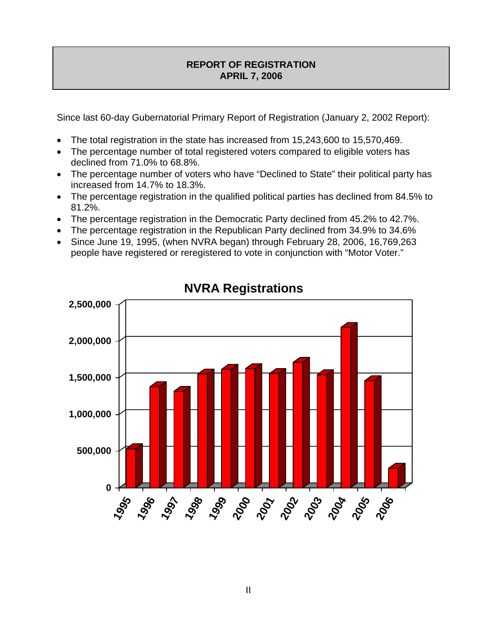# **REPORT OF REGISTRATION APRIL 7, 2006**

Since last 60-day Gubernatorial Primary Report of Registration (January 2, 2002 Report):

- The total registration in the state has increased from 15,243,600 to 15,570,469.
- The percentage number of total registered voters compared to eligible voters has declined from 71.0% to 68.8%.
- The percentage number of voters who have "Declined to State" their political party has increased from 14.7% to 18.3%.
- The percentage registration in the qualified political parties has declined from 84.5% to 81.2%.
- The percentage registration in the Democratic Party declined from 45.2% to 42.7%.
- The percentage registration in the Republican Party declined from 34.9% to 34.6%
- Since June 19, 1995, (when NVRA began) through February 28, 2006, 16,769,263 people have registered or reregistered to vote in conjunction with "Motor Voter."



**NVRA Registrations**